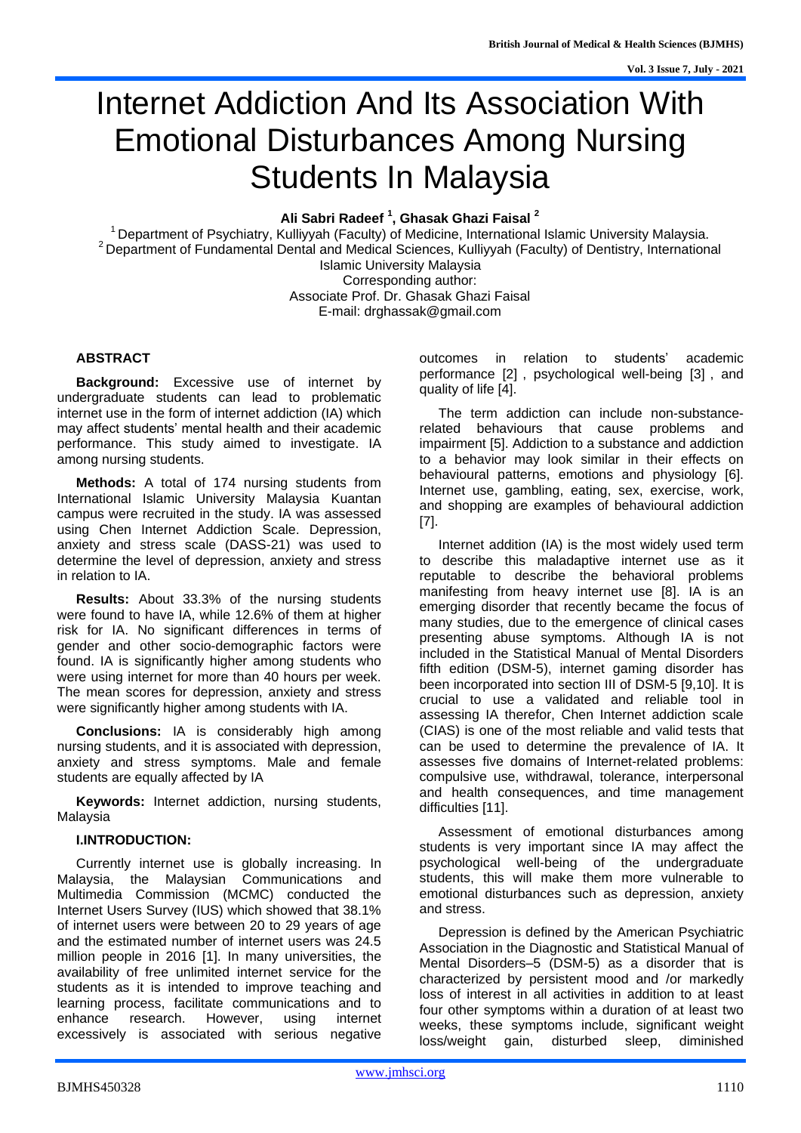# Internet Addiction And Its Association With Emotional Disturbances Among Nursing Students In Malaysia

**Ali Sabri Radeef <sup>1</sup> , Ghasak Ghazi Faisal <sup>2</sup>**

 $1$  Department of Psychiatry, Kulliyyah (Faculty) of Medicine, International Islamic University Malaysia. <sup>2</sup> Department of Fundamental Dental and Medical Sciences, Kulliyyah (Faculty) of Dentistry, International Islamic University Malaysia Corresponding author: Associate Prof. Dr. Ghasak Ghazi Faisal E-mail: [drghassak@gmail.com](mailto:drghassak@gmail.com)

# **ABSTRACT**

**Background:** Excessive use of internet by undergraduate students can lead to problematic internet use in the form of internet addiction (IA) which may affect students' mental health and their academic performance. This study aimed to investigate. IA among nursing students.

**Methods:** A total of 174 nursing students from International Islamic University Malaysia Kuantan campus were recruited in the study. IA was assessed using Chen Internet Addiction Scale. Depression, anxiety and stress scale (DASS-21) was used to determine the level of depression, anxiety and stress in relation to IA.

**Results:** About 33.3% of the nursing students were found to have IA, while 12.6% of them at higher risk for IA. No significant differences in terms of gender and other socio-demographic factors were found. IA is significantly higher among students who were using internet for more than 40 hours per week. The mean scores for depression, anxiety and stress were significantly higher among students with IA.

**Conclusions:** IA is considerably high among nursing students, and it is associated with depression, anxiety and stress symptoms. Male and female students are equally affected by IA

**Keywords:** Internet addiction, nursing students, Malaysia

# **I.INTRODUCTION:**

Currently internet use is globally increasing. In Malaysia, the Malaysian Communications and Multimedia Commission (MCMC) conducted the Internet Users Survey (IUS) which showed that 38.1% of internet users were between 20 to 29 years of age and the estimated number of internet users was 24.5 million people in 2016 [1]. In many universities, the availability of free unlimited internet service for the students as it is intended to improve teaching and learning process, facilitate communications and to enhance research. However, using internet excessively is associated with serious negative

outcomes in relation to students' academic performance [2] , psychological well-being [3] , and quality of life [4].

The term addiction can include non-substancerelated behaviours that cause problems and impairment [5]. Addiction to a substance and addiction to a behavior may look similar in their effects on behavioural patterns, emotions and physiology [6]. Internet use, gambling, eating, sex, exercise, work, and shopping are examples of behavioural addiction [7].

Internet addition (IA) is the most widely used term to describe this maladaptive internet use as it reputable to describe the behavioral problems manifesting from heavy internet use [8]. IA is an emerging disorder that recently became the focus of many studies, due to the emergence of clinical cases presenting abuse symptoms. Although IA is not included in the Statistical Manual of Mental Disorders fifth edition (DSM-5), internet gaming disorder has been incorporated into section III of DSM-5 [9,10]. It is crucial to use a validated and reliable tool in assessing IA therefor, Chen Internet addiction scale (CIAS) is one of the most reliable and valid tests that can be used to determine the prevalence of IA. It assesses five domains of Internet-related problems: compulsive use, withdrawal, tolerance, interpersonal and health consequences, and time management difficulties [11].

Assessment of emotional disturbances among students is very important since IA may affect the psychological well-being of the undergraduate students, this will make them more vulnerable to emotional disturbances such as depression, anxiety and stress.

Depression is defined by the American Psychiatric Association in the Diagnostic and Statistical Manual of Mental Disorders–5 (DSM-5) as a disorder that is characterized by persistent mood and /or markedly loss of interest in all activities in addition to at least four other symptoms within a duration of at least two weeks, these symptoms include, significant weight loss/weight gain, disturbed sleep, diminished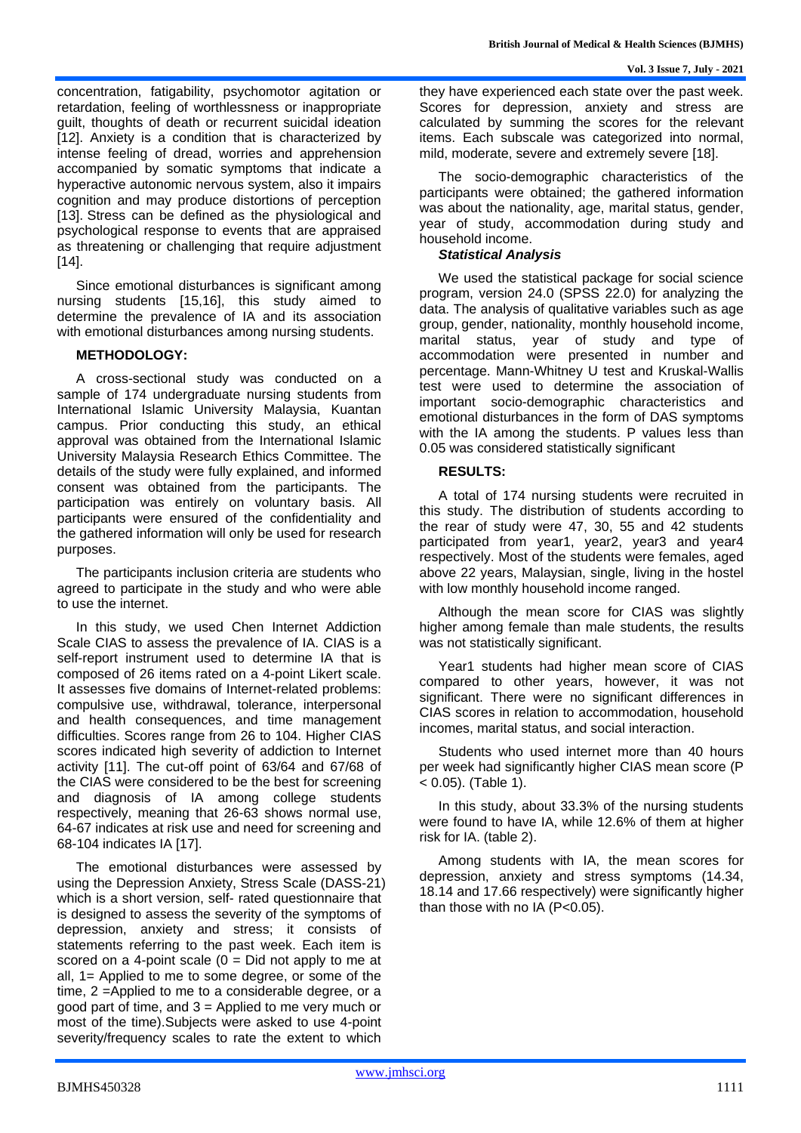concentration, fatigability, psychomotor agitation or retardation, feeling of worthlessness or inappropriate guilt, thoughts of death or recurrent suicidal ideation [12]. Anxiety is a condition that is characterized by intense feeling of dread, worries and apprehension accompanied by somatic symptoms that indicate a hyperactive autonomic nervous system, also it impairs cognition and may produce distortions of perception [13]. Stress can be defined as the physiological and psychological response to events that are appraised as threatening or challenging that require adjustment [14].

Since emotional disturbances is significant among nursing students [15,16], this study aimed to determine the prevalence of IA and its association with emotional disturbances among nursing students.

#### **METHODOLOGY:**

A cross-sectional study was conducted on a sample of 174 undergraduate nursing students from International Islamic University Malaysia, Kuantan campus. Prior conducting this study, an ethical approval was obtained from the International Islamic University Malaysia Research Ethics Committee. The details of the study were fully explained, and informed consent was obtained from the participants. The participation was entirely on voluntary basis. All participants were ensured of the confidentiality and the gathered information will only be used for research purposes.

The participants inclusion criteria are students who agreed to participate in the study and who were able to use the internet.

In this study, we used Chen Internet Addiction Scale CIAS to assess the prevalence of IA. CIAS is a self-report instrument used to determine IA that is composed of 26 items rated on a 4-point Likert scale. It assesses five domains of Internet-related problems: compulsive use, withdrawal, tolerance, interpersonal and health consequences, and time management difficulties. Scores range from 26 to 104. Higher CIAS scores indicated high severity of addiction to Internet activity [11]. The cut-off point of 63/64 and 67/68 of the CIAS were considered to be the best for screening and diagnosis of IA among college students respectively, meaning that 26-63 shows normal use, 64-67 indicates at risk use and need for screening and 68-104 indicates IA [17].

The emotional disturbances were assessed by using the Depression Anxiety, Stress Scale (DASS-21) which is a short version, self- rated questionnaire that is designed to assess the severity of the symptoms of depression, anxiety and stress; it consists of statements referring to the past week. Each item is scored on a 4-point scale  $(0 = Did not apply to me at)$ all, 1= Applied to me to some degree, or some of the time, 2 =Applied to me to a considerable degree, or a good part of time, and  $3$  = Applied to me very much or most of the time).Subjects were asked to use 4-point severity/frequency scales to rate the extent to which

they have experienced each state over the past week. Scores for depression, anxiety and stress are calculated by summing the scores for the relevant items. Each subscale was categorized into normal, mild, moderate, severe and extremely severe [18].

The socio-demographic characteristics of the participants were obtained; the gathered information was about the nationality, age, marital status, gender, year of study, accommodation during study and household income.

#### *Statistical Analysis*

We used the statistical package for social science program, version 24.0 (SPSS 22.0) for analyzing the data. The analysis of qualitative variables such as age group, gender, nationality, monthly household income, marital status, year of study and type of accommodation were presented in number and percentage. Mann-Whitney U test and Kruskal-Wallis test were used to determine the association of important socio-demographic characteristics and emotional disturbances in the form of DAS symptoms with the IA among the students. P values less than 0.05 was considered statistically significant

#### **RESULTS:**

A total of 174 nursing students were recruited in this study. The distribution of students according to the rear of study were 47, 30, 55 and 42 students participated from year1, year2, year3 and year4 respectively. Most of the students were females, aged above 22 years, Malaysian, single, living in the hostel with low monthly household income ranged.

Although the mean score for CIAS was slightly higher among female than male students, the results was not statistically significant.

Year1 students had higher mean score of CIAS compared to other years, however, it was not significant. There were no significant differences in CIAS scores in relation to accommodation, household incomes, marital status, and social interaction.

Students who used internet more than 40 hours per week had significantly higher CIAS mean score (P  $(6.05)$ . (Table 1).

In this study, about 33.3% of the nursing students were found to have IA, while 12.6% of them at higher risk for IA. (table 2).

Among students with IA, the mean scores for depression, anxiety and stress symptoms (14.34, 18.14 and 17.66 respectively) were significantly higher than those with no IA  $(P< 0.05)$ .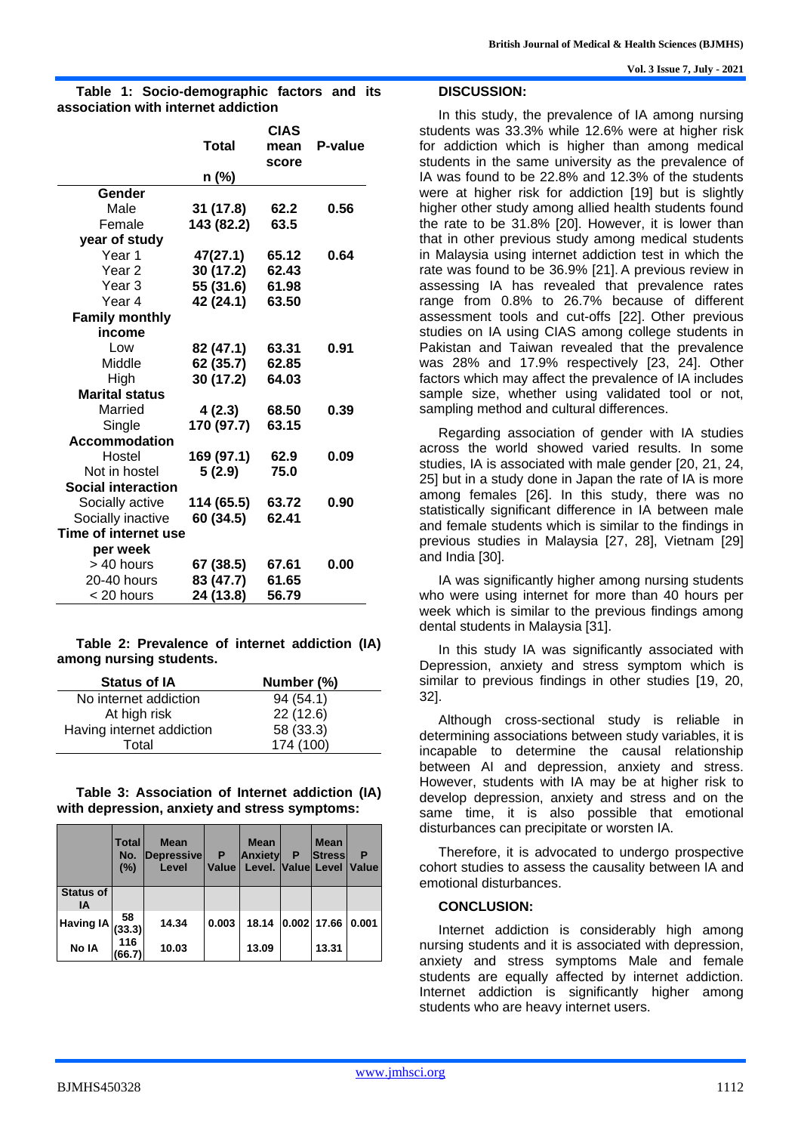|                           |              | P-value |      |  |  |  |  |
|---------------------------|--------------|---------|------|--|--|--|--|
|                           | <b>Total</b> |         |      |  |  |  |  |
|                           |              | score   |      |  |  |  |  |
|                           | n (%)        |         |      |  |  |  |  |
| Gender                    |              |         |      |  |  |  |  |
| Male                      | 31 (17.8)    | 62.2    | 0.56 |  |  |  |  |
| Female                    | 143 (82.2)   | 63.5    |      |  |  |  |  |
| year of study             |              |         |      |  |  |  |  |
| Year 1                    | 47(27.1)     | 65.12   | 0.64 |  |  |  |  |
| Year 2                    | 30 (17.2)    | 62.43   |      |  |  |  |  |
| Year 3                    | 55 (31.6)    | 61.98   |      |  |  |  |  |
| Year 4                    | 42 (24.1)    | 63.50   |      |  |  |  |  |
| <b>Family monthly</b>     |              |         |      |  |  |  |  |
| income                    |              |         |      |  |  |  |  |
| Low                       | 82 (47.1)    | 63.31   | 0.91 |  |  |  |  |
| Middle                    | 62 (35.7)    | 62.85   |      |  |  |  |  |
| High                      | 30 (17.2)    | 64.03   |      |  |  |  |  |
| <b>Marital status</b>     |              |         |      |  |  |  |  |
| Married                   | 4(2.3)       | 68.50   | 0.39 |  |  |  |  |
| Single                    | 170 (97.7)   | 63.15   |      |  |  |  |  |
| <b>Accommodation</b>      |              |         |      |  |  |  |  |
| Hostel                    | 169 (97.1)   | 62.9    | 0.09 |  |  |  |  |
| Not in hostel             | 5(2.9)       | 75.0    |      |  |  |  |  |
| <b>Social interaction</b> |              |         |      |  |  |  |  |
| Socially active           | 114 (65.5)   | 63.72   | 0.90 |  |  |  |  |
| Socially inactive         | 60 (34.5)    | 62.41   |      |  |  |  |  |
| Time of internet use      |              |         |      |  |  |  |  |
| per week                  |              |         |      |  |  |  |  |
| > 40 hours                | 67 (38.5)    | 67.61   | 0.00 |  |  |  |  |
| 20-40 hours               | 83 (47.7)    | 61.65   |      |  |  |  |  |
| < 20 hours                | 24 (13.8)    | 56.79   |      |  |  |  |  |

**Table 1: Socio-demographic factors and its association with internet addiction**

#### **Table 2: Prevalence of internet addiction (IA) among nursing students.**

| <b>Status of IA</b>       | Number (%) |
|---------------------------|------------|
| No internet addiction     | 94(54.1)   |
| At high risk              | 22(12.6)   |
| Having internet addiction | 58 (33.3)  |
| Total                     | 174 (100)  |

#### **Table 3: Association of Internet addiction (IA) with depression, anxiety and stress symptoms:**

|                        | <b>Total</b><br>No.<br>(%) | <b>Mean</b><br>Depressive<br>Level | P<br>Value | <b>Mean</b><br><b>Anxiety</b><br>Level. Value Level | Р | <b>Mean</b><br>Stress | P<br><b>Value</b> |
|------------------------|----------------------------|------------------------------------|------------|-----------------------------------------------------|---|-----------------------|-------------------|
| <b>Status of</b><br>ΙA |                            |                                    |            |                                                     |   |                       |                   |
| <b>Having IA</b>       | 58<br>(33.3)               | 14.34                              | 0.003      | 18.14                                               |   | 0.002 17.66           | 0.001             |
| No IA                  | 116<br>(66.7)              | 10.03                              |            | 13.09                                               |   | 13.31                 |                   |

#### **Vol. 3 Issue 7, July - 2021**

#### **DISCUSSION:**

In this study, the prevalence of IA among nursing students was 33.3% while 12.6% were at higher risk for addiction which is higher than among medical students in the same university as the prevalence of IA was found to be 22.8% and 12.3% of the students were at higher risk for addiction [19] but is slightly higher other study among allied health students found the rate to be 31.8% [20]. However, it is lower than that in other previous study among medical students in Malaysia using internet addiction test in which the rate was found to be 36.9% [21]. A previous review in assessing IA has revealed that prevalence rates range from 0.8% to 26.7% because of different assessment tools and cut-offs [22]. Other previous studies on IA using CIAS among college students in Pakistan and Taiwan revealed that the prevalence was 28% and 17.9% respectively [23, 24]. Other factors which may affect the prevalence of IA includes sample size, whether using validated tool or not, sampling method and cultural differences.

Regarding association of gender with IA studies across the world showed varied results. In some studies, IA is associated with male gender [20, 21, 24, 25] but in a study done in Japan the rate of IA is more among females [26]. In this study, there was no statistically significant difference in IA between male and female students which is similar to the findings in previous studies in Malaysia [27, 28], Vietnam [29] and India [30].

IA was significantly higher among nursing students who were using internet for more than 40 hours per week which is similar to the previous findings among dental students in Malaysia [31].

In this study IA was significantly associated with Depression, anxiety and stress symptom which is similar to previous findings in other studies [19, 20, 32].

Although cross-sectional study is reliable in determining associations between study variables, it is incapable to determine the causal relationship between AI and depression, anxiety and stress. However, students with IA may be at higher risk to develop depression, anxiety and stress and on the same time, it is also possible that emotional disturbances can precipitate or worsten IA.

Therefore, it is advocated to undergo prospective cohort studies to assess the causality between IA and emotional disturbances.

#### **CONCLUSION:**

Internet addiction is considerably high among nursing students and it is associated with depression, anxiety and stress symptoms Male and female students are equally affected by internet addiction. Internet addiction is significantly higher among students who are heavy internet users.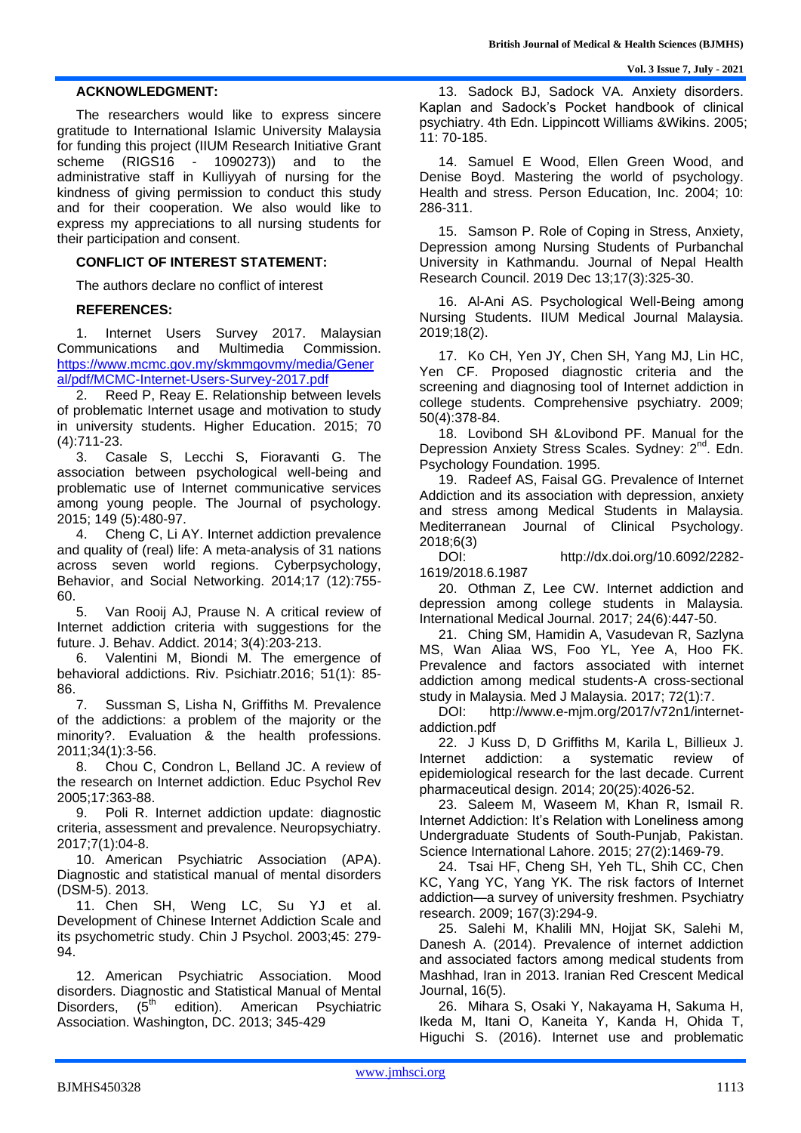### **ACKNOWLEDGMENT:**

The researchers would like to express sincere gratitude to International Islamic University Malaysia for funding this project (IIUM Research Initiative Grant scheme (RIGS16 - 1090273)) and to the administrative staff in Kulliyyah of nursing for the kindness of giving permission to conduct this study and for their cooperation. We also would like to express my appreciations to all nursing students for their participation and consent.

## **CONFLICT OF INTEREST STATEMENT:**

The authors declare no conflict of interest

#### **REFERENCES:**

1. Internet Users Survey 2017. Malaysian Communications and Multimedia Commission. [https://www.mcmc.gov.my/skmmgovmy/media/Gener](https://www.mcmc.gov.my/skmmgovmy/media/General/pdf/MCMC-Internet-Users-Survey-2017.pdf) [al/pdf/MCMC-Internet-Users-Survey-2017.pdf](https://www.mcmc.gov.my/skmmgovmy/media/General/pdf/MCMC-Internet-Users-Survey-2017.pdf)

2. Reed P, Reay E. Relationship between levels of problematic Internet usage and motivation to study in university students. Higher Education. 2015; 70 (4):711-23.

3. Casale S, Lecchi S, Fioravanti G. The association between psychological well-being and problematic use of Internet communicative services among young people. The Journal of psychology. 2015; 149 (5):480-97.

4. Cheng C, Li AY. Internet addiction prevalence and quality of (real) life: A meta-analysis of 31 nations across seven world regions. Cyberpsychology, Behavior, and Social Networking. 2014;17 (12):755- 60.

5. Van Rooij AJ, Prause N. A critical review of Internet addiction criteria with suggestions for the future. J. Behav. Addict. 2014; 3(4):203-213.

6. Valentini M, Biondi M. The emergence of behavioral addictions. Riv. Psichiatr.2016; 51(1): 85- 86.

7. Sussman S, Lisha N, Griffiths M. Prevalence of the addictions: a problem of the majority or the minority?. Evaluation & the health professions. 2011;34(1):3-56.

8. Chou C, Condron L, Belland JC. A review of the research on Internet addiction. Educ Psychol Rev 2005;17:363-88.

9. Poli R. Internet addiction update: diagnostic criteria, assessment and prevalence. Neuropsychiatry. 2017;7(1):04-8.

10. American Psychiatric Association (APA). Diagnostic and statistical manual of mental disorders (DSM-5). 2013.

11. Chen SH, Weng LC, Su YJ et al. Development of Chinese Internet Addiction Scale and its psychometric study. Chin J Psychol. 2003;45: 279- 94.

12. American Psychiatric Association. Mood disorders. Diagnostic and Statistical Manual of Mental Disorders,  $(5<sup>th</sup>$  edition). American Psychiatric Association. Washington, DC. 2013; 345-429

13. Sadock BJ, Sadock VA. Anxiety disorders. Kaplan and Sadock's Pocket handbook of clinical psychiatry. 4th Edn. Lippincott Williams &Wikins. 2005; 11: 70-185.

14. Samuel E Wood, Ellen Green Wood, and Denise Boyd. Mastering the world of psychology. Health and stress. Person Education, Inc. 2004; 10: 286-311.

15. Samson P. Role of Coping in Stress, Anxiety, Depression among Nursing Students of Purbanchal University in Kathmandu. Journal of Nepal Health Research Council. 2019 Dec 13;17(3):325-30.

16. Al-Ani AS. Psychological Well-Being among Nursing Students. IIUM Medical Journal Malaysia. 2019;18(2).

17. Ko CH, Yen JY, Chen SH, Yang MJ, Lin HC, Yen CF. Proposed diagnostic criteria and the screening and diagnosing tool of Internet addiction in college students. Comprehensive psychiatry. 2009; 50(4):378-84.

18. Lovibond SH &Lovibond PF. Manual for the Depression Anxiety Stress Scales. Sydney: 2<sup>nd</sup>. Edn. Psychology Foundation. 1995.

19. Radeef AS, Faisal GG. Prevalence of Internet Addiction and its association with depression, anxiety and stress among Medical Students in Malaysia. Mediterranean Journal of Clinical Psychology. 2018;6(3)

http://dx.doi.org/10.6092/2282-1619/2018.6.1987

20. Othman Z, Lee CW. Internet addiction and depression among college students in Malaysia. International Medical Journal. 2017; 24(6):447-50.

21. Ching SM, Hamidin A, Vasudevan R, Sazlyna MS, Wan Aliaa WS, Foo YL, Yee A, Hoo FK. Prevalence and factors associated with internet addiction among medical students-A cross-sectional study in Malaysia. Med J Malaysia. 2017; 72(1):7.

DOI: http://www.e-mjm.org/2017/v72n1/internetaddiction.pdf

22. J Kuss D, D Griffiths M, Karila L, Billieux J. Internet addiction: a systematic review of epidemiological research for the last decade. Current pharmaceutical design. 2014; 20(25):4026-52.

23. Saleem M, Waseem M, Khan R, Ismail R. Internet Addiction: It's Relation with Loneliness among Undergraduate Students of South-Punjab, Pakistan. Science International Lahore. 2015; 27(2):1469-79.

24. Tsai HF, Cheng SH, Yeh TL, Shih CC, Chen KC, Yang YC, Yang YK. The risk factors of Internet addiction—a survey of university freshmen. Psychiatry research. 2009; 167(3):294-9.

25. Salehi M, Khalili MN, Hojjat SK, Salehi M, Danesh A. (2014). Prevalence of internet addiction and associated factors among medical students from Mashhad, Iran in 2013. Iranian Red Crescent Medical Journal, 16(5).

26. Mihara S, Osaki Y, Nakayama H, Sakuma H, Ikeda M, Itani O, Kaneita Y, Kanda H, Ohida T, Higuchi S. (2016). Internet use and problematic